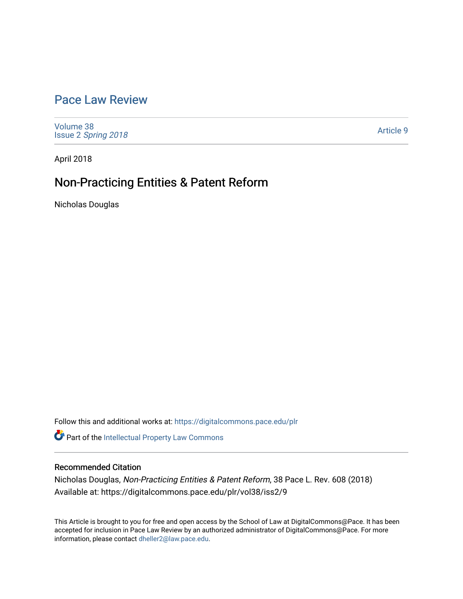# [Pace Law Review](https://digitalcommons.pace.edu/plr)

[Volume 38](https://digitalcommons.pace.edu/plr/vol38) Issue 2 [Spring 2018](https://digitalcommons.pace.edu/plr/vol38/iss2) 

[Article 9](https://digitalcommons.pace.edu/plr/vol38/iss2/9) 

April 2018

# Non-Practicing Entities & Patent Reform

Nicholas Douglas

Follow this and additional works at: [https://digitalcommons.pace.edu/plr](https://digitalcommons.pace.edu/plr?utm_source=digitalcommons.pace.edu%2Fplr%2Fvol38%2Fiss2%2F9&utm_medium=PDF&utm_campaign=PDFCoverPages)

Part of the [Intellectual Property Law Commons](http://network.bepress.com/hgg/discipline/896?utm_source=digitalcommons.pace.edu%2Fplr%2Fvol38%2Fiss2%2F9&utm_medium=PDF&utm_campaign=PDFCoverPages) 

# Recommended Citation

Nicholas Douglas, Non-Practicing Entities & Patent Reform, 38 Pace L. Rev. 608 (2018) Available at: https://digitalcommons.pace.edu/plr/vol38/iss2/9

This Article is brought to you for free and open access by the School of Law at DigitalCommons@Pace. It has been accepted for inclusion in Pace Law Review by an authorized administrator of DigitalCommons@Pace. For more information, please contact [dheller2@law.pace.edu.](mailto:dheller2@law.pace.edu)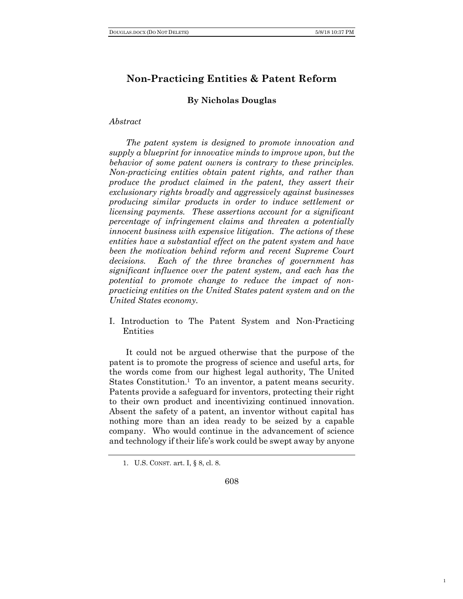1

# **Non-Practicing Entities & Patent Reform**

### **By Nicholas Douglas**

#### *Abstract*

*The patent system is designed to promote innovation and supply a blueprint for innovative minds to improve upon, but the behavior of some patent owners is contrary to these principles. Non-practicing entities obtain patent rights, and rather than produce the product claimed in the patent, they assert their exclusionary rights broadly and aggressively against businesses producing similar products in order to induce settlement or licensing payments. These assertions account for a significant percentage of infringement claims and threaten a potentially innocent business with expensive litigation. The actions of these entities have a substantial effect on the patent system and have been the motivation behind reform and recent Supreme Court decisions. Each of the three branches of government has significant influence over the patent system, and each has the potential to promote change to reduce the impact of nonpracticing entities on the United States patent system and on the United States economy.*

I. Introduction to The Patent System and Non-Practicing Entities

It could not be argued otherwise that the purpose of the patent is to promote the progress of science and useful arts, for the words come from our highest legal authority, The United States Constitution.<sup>1</sup> To an inventor, a patent means security. Patents provide a safeguard for inventors, protecting their right to their own product and incentivizing continued innovation. Absent the safety of a patent, an inventor without capital has nothing more than an idea ready to be seized by a capable company. Who would continue in the advancement of science and technology if their life's work could be swept away by anyone

608

<sup>1.</sup> U.S. CONST. art. I, § 8, cl. 8.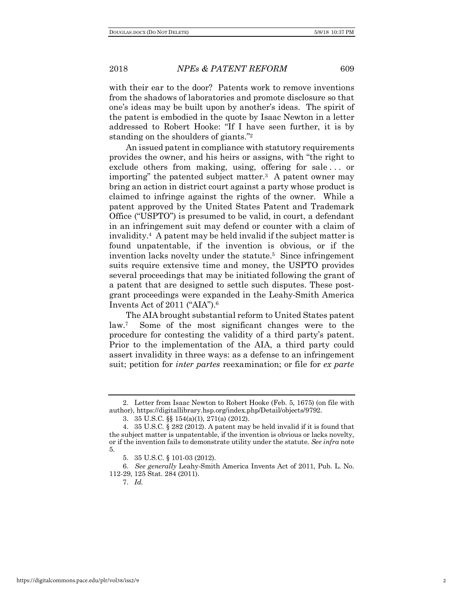with their ear to the door? Patents work to remove inventions from the shadows of laboratories and promote disclosure so that one's ideas may be built upon by another's ideas. The spirit of the patent is embodied in the quote by Isaac Newton in a letter addressed to Robert Hooke: "If I have seen further, it is by standing on the shoulders of giants."2

An issued patent in compliance with statutory requirements provides the owner, and his heirs or assigns, with "the right to exclude others from making, using, offering for sale ... or importing" the patented subject matter.3 A patent owner may bring an action in district court against a party whose product is claimed to infringe against the rights of the owner. While a patent approved by the United States Patent and Trademark Office ("USPTO") is presumed to be valid, in court, a defendant in an infringement suit may defend or counter with a claim of invalidity.4 A patent may be held invalid if the subject matter is found unpatentable, if the invention is obvious, or if the invention lacks novelty under the statute.5 Since infringement suits require extensive time and money, the USPTO provides several proceedings that may be initiated following the grant of a patent that are designed to settle such disputes. These postgrant proceedings were expanded in the Leahy-Smith America Invents Act of 2011 ("AIA").6

The AIA brought substantial reform to United States patent law.7 Some of the most significant changes were to the procedure for contesting the validity of a third party's patent. Prior to the implementation of the AIA, a third party could assert invalidity in three ways: as a defense to an infringement suit; petition for *inter partes* reexamination; or file for *ex parte*

<sup>2.</sup> Letter from Isaac Newton to Robert Hooke (Feb. 5, 1675) (on file with author), https://digitallibrary.hsp.org/index.php/Detail/objects/9792.

<sup>3.</sup> 35 U.S.C. §§ 154(a)(1), 271(a) (2012).

<sup>4.</sup> 35 U.S.C. § 282 (2012). A patent may be held invalid if it is found that the subject matter is unpatentable, if the invention is obvious or lacks novelty, or if the invention fails to demonstrate utility under the statute. *See infra* note 5.

<sup>5.</sup> 35 U.S.C. § 101-03 (2012).

<sup>6.</sup> *See generally* Leahy-Smith America Invents Act of 2011, Pub. L. No. 112-29, 125 Stat. 284 (2011).

<sup>7.</sup> *Id.*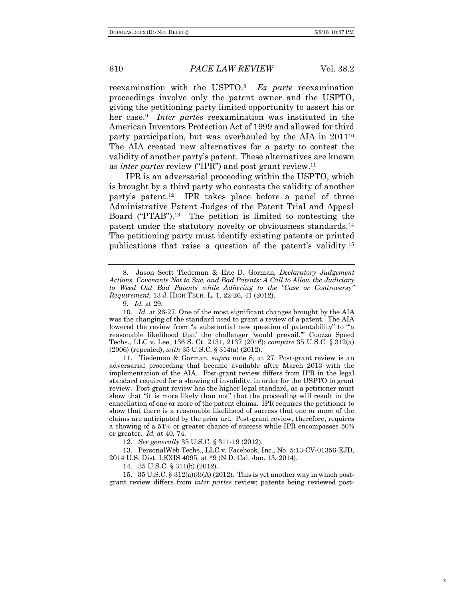reexamination with the USPTO.8 *Ex parte* reexamination proceedings involve only the patent owner and the USPTO, giving the petitioning party limited opportunity to assert his or her case.9 *Inter partes* reexamination was instituted in the American Inventors Protection Act of 1999 and allowed for third party participation, but was overhauled by the AIA in 2011<sup>10</sup> The AIA created new alternatives for a party to contest the validity of another party's patent. These alternatives are known as *inter partes* review ("IPR") and post-grant review.11

IPR is an adversarial proceeding within the USPTO, which is brought by a third party who contests the validity of another party's patent.12 IPR takes place before a panel of three Administrative Patent Judges of the Patent Trial and Appeal Board ("PTAB").13 The petition is limited to contesting the patent under the statutory novelty or obviousness standards.14 The petitioning party must identify existing patents or printed publications that raise a question of the patent's validity.15

12. *See generally* 35 U.S.C. § 311-19 (2012).

13. PersonalWeb Techs., LLC v. Facebook, Inc., No. 5:13-CV-01356-EJD, 2014 U.S. Dist. LEXIS 4095, at \*9 (N.D. Cal. Jan. 13, 2014).

14. 35 U.S.C. § 311(b) (2012).

15. 35 U.S.C. § 312(a)(3)(A) (2012). This is yet another way in which postgrant review differs from *inter partes* review; patents being reviewed post-

<sup>8.</sup> Jason Scott Tiedeman & Eric D. Gorman, *Declaratory Judgement Actions, Covenants Not to Sue, and Bad Patents: A Call to Allow the Judiciary to Weed Out Bad Patents while Adhering to the "Case or Controversy" Requirement*, 13 J. HIGH TECH. L. 1, 22-26, 41 (2012).

<sup>9.</sup> *Id.* at 29.

<sup>10.</sup> *Id.* at 26-27. One of the most significant changes brought by the AIA was the changing of the standard used to grant a review of a patent. The AIA lowered the review from "a substantial new question of patentability" to "a reasonable likelihood that' the challenger 'would prevail.'" Cuozzo Speed Techs., LLC v. Lee, 136 S. Ct. 2131, 2137 (2016); *compare* 35 U.S.C. § 312(a) (2006) (repealed), *with* 35 U.S.C. § 314(a) (2012).

<sup>11.</sup> Tiedeman & Gorman, *supra* note 8, at 27. Post-grant review is an adversarial proceeding that became available after March 2013 with the implementation of the AIA. Post-grant review differs from IPR in the legal standard required for a showing of invalidity, in order for the USPTO to grant review. Post-grant review has the higher legal standard, as a petitioner must show that "it is more likely than not" that the proceeding will result in the cancellation of one or more of the patent claims. IPR requires the petitioner to show that there is a reasonable likelihood of success that one or more of the claims are anticipated by the prior art. Post-grant review, therefore, requires a showing of a 51% or greater chance of success while IPR encompasses 50% or greater. *Id.* at 40, 74.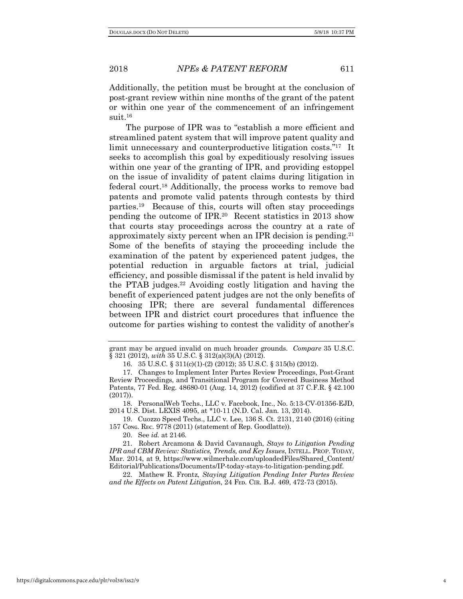Additionally, the petition must be brought at the conclusion of post-grant review within nine months of the grant of the patent or within one year of the commencement of an infringement suit.16

The purpose of IPR was to "establish a more efficient and streamlined patent system that will improve patent quality and limit unnecessary and counterproductive litigation costs."17 It seeks to accomplish this goal by expeditiously resolving issues within one year of the granting of IPR, and providing estoppel on the issue of invalidity of patent claims during litigation in federal court.18 Additionally, the process works to remove bad patents and promote valid patents through contests by third parties.19 Because of this, courts will often stay proceedings pending the outcome of IPR.20 Recent statistics in 2013 show that courts stay proceedings across the country at a rate of approximately sixty percent when an IPR decision is pending.<sup>21</sup> Some of the benefits of staying the proceeding include the examination of the patent by experienced patent judges, the potential reduction in arguable factors at trial, judicial efficiency, and possible dismissal if the patent is held invalid by the PTAB judges.22 Avoiding costly litigation and having the benefit of experienced patent judges are not the only benefits of choosing IPR; there are several fundamental differences between IPR and district court procedures that influence the outcome for parties wishing to contest the validity of another's

18. PersonalWeb Techs., LLC v. Facebook, Inc., No. 5:13-CV-01356-EJD, 2014 U.S. Dist. LEXIS 4095, at \*10-11 (N.D. Cal. Jan. 13, 2014).

19. Cuozzo Speed Techs., LLC v. Lee, 136 S. Ct. 2131, 2140 (2016) (citing 157 Cong. REC. 9778 (2011) (statement of Rep. Goodlatte)).

20. See *id.* at 2146.

22. Mathew R. Frontz, *Staying Litigation Pending Inter Partes Review*  and the Effects on Patent Litigation, 24 FED. CIR. B.J. 469, 472-73 (2015).

grant may be argued invalid on much broader grounds. *Compare* 35 U.S.C. § 321 (2012), *with* 35 U.S.C. § 312(a)(3)(A) (2012).

<sup>16.</sup> 35 U.S.C. § 311(c)(1)-(2) (2012); 35 U.S.C. § 315(b) (2012).

<sup>17.</sup> Changes to Implement Inter Partes Review Proceedings, Post-Grant Review Proceedings, and Transitional Program for Covered Business Method Patents, 77 Fed. Reg. 48680-01 (Aug. 14, 2012) (codified at 37 C.F.R. § 42.100 (2017)).

<sup>21.</sup> Robert Arcamona & David Cavanaugh, *Stays to Litigation Pending IPR and CBM Review: Statistics, Trends, and Key Issues*, INTELL. PROP. TODAY, Mar. 2014, at 9, https://www.wilmerhale.com/uploadedFiles/Shared\_Content/ Editorial/Publications/Documents/IP-today-stays-to-litigation-pending.pdf.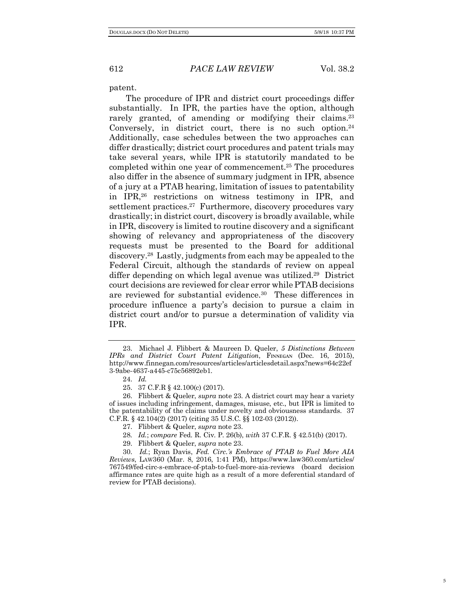patent.

The procedure of IPR and district court proceedings differ substantially. In IPR, the parties have the option, although rarely granted, of amending or modifying their claims.<sup>23</sup> Conversely, in district court, there is no such option.<sup>24</sup> Additionally, case schedules between the two approaches can differ drastically; district court procedures and patent trials may take several years, while IPR is statutorily mandated to be completed within one year of commencement.25 The procedures also differ in the absence of summary judgment in IPR, absence of a jury at a PTAB hearing, limitation of issues to patentability in IPR,26 restrictions on witness testimony in IPR, and settlement practices.<sup>27</sup> Furthermore, discovery procedures vary drastically; in district court, discovery is broadly available, while in IPR, discovery is limited to routine discovery and a significant showing of relevancy and appropriateness of the discovery requests must be presented to the Board for additional discovery.28 Lastly, judgments from each may be appealed to the Federal Circuit, although the standards of review on appeal differ depending on which legal avenue was utilized.29 District court decisions are reviewed for clear error while PTAB decisions are reviewed for substantial evidence.30 These differences in procedure influence a party's decision to pursue a claim in district court and/or to pursue a determination of validity via IPR.

<sup>23.</sup> Michael J. Flibbert & Maureen D. Queler, *5 Distinctions Between IPRs and District Court Patent Litigation*, Fɪɴɴᴇɢᴀɴ (Dec. 16, 2015), http://www.finnegan.com/resources/articles/articlesdetail.aspx?news=64c22ef 3-9abe-4637-a445-c75c56892eb1.

<sup>24.</sup> *Id.*

<sup>25.</sup> 37 C.F.R § 42.100(c) (2017).

<sup>26.</sup> Flibbert & Queler, *supra* note 23. A district court may hear a variety of issues including infringement, damages, misuse, etc., but IPR is limited to the patentability of the claims under novelty and obviousness standards. 37 C.F.R. § 42.104(2) (2017) (citing 35 U.S.C. §§ 102-03 (2012)).

<sup>27.</sup> Flibbert & Queler, *supra* note 23.

<sup>28</sup>*. Id.*; *compare* Fed. R. Civ. P. 26(b), *with* 37 C.F.R. § 42.51(b) (2017).

<sup>29.</sup> Flibbert & Queler, *supra* note 23.

<sup>30.</sup> *Id.*; Ryan Davis, *Fed. Circ.'s Embrace of PTAB to Fuel More AIA Reviews*, LAW360 (Mar. 8, 2016, 1:41 PM), https://www.law360.com/articles/ 767549/fed-circ-s-embrace-of-ptab-to-fuel-more-aia-reviews (board decision affirmance rates are quite high as a result of a more deferential standard of review for PTAB decisions).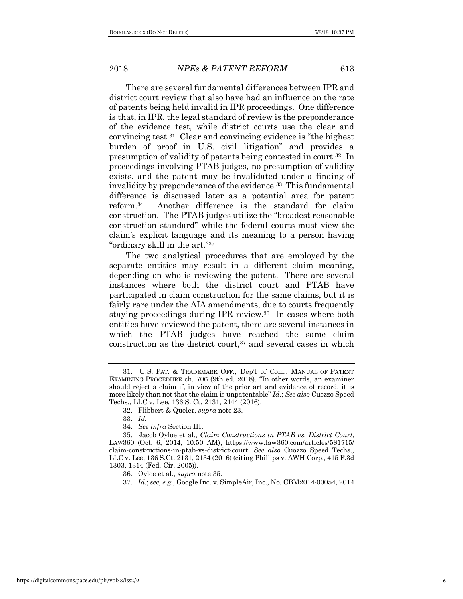There are several fundamental differences between IPR and district court review that also have had an influence on the rate of patents being held invalid in IPR proceedings. One difference is that, in IPR, the legal standard of review is the preponderance of the evidence test, while district courts use the clear and convincing test.31 Clear and convincing evidence is "the highest burden of proof in U.S. civil litigation" and provides a presumption of validity of patents being contested in court.32 In proceedings involving PTAB judges, no presumption of validity exists, and the patent may be invalidated under a finding of invalidity by preponderance of the evidence.<sup>33</sup> This fundamental difference is discussed later as a potential area for patent reform.34 Another difference is the standard for claim construction. The PTAB judges utilize the "broadest reasonable construction standard" while the federal courts must view the claim's explicit language and its meaning to a person having "ordinary skill in the art."35

The two analytical procedures that are employed by the separate entities may result in a different claim meaning, depending on who is reviewing the patent. There are several instances where both the district court and PTAB have participated in claim construction for the same claims, but it is fairly rare under the AIA amendments, due to courts frequently staying proceedings during IPR review.36 In cases where both entities have reviewed the patent, there are several instances in which the PTAB judges have reached the same claim construction as the district court, $37$  and several cases in which

<sup>31.</sup> U.S. PAT. & TRADEMARK OFF., Dep't of Com., MANUAL OF PATENT EXAMINING PROCEDURE ch. 706 (9th ed. 2018). "In other words, an examiner should reject a claim if, in view of the prior art and evidence of record, it is more likely than not that the claim is unpatentable" *Id.*; *See also* Cuozzo Speed Techs., LLC v. Lee, 136 S. Ct. 2131, 2144 (2016).

<sup>32.</sup> Flibbert & Queler, *supra* note 23.

<sup>33.</sup> *Id.* 

<sup>34.</sup> *See infra* Section III.

<sup>35.</sup> Jacob Oyloe et al., *Claim Constructions in PTAB vs. District Court*, LAW360 (Oct. 6, 2014, 10:50 AM), https://www.law360.com/articles/581715/ claim-constructions-in-ptab-vs-district-court. *See also* Cuozzo Speed Techs., LLC v. Lee, 136 S.Ct. 2131, 2134 (2016) (citing Phillips v. AWH Corp., 415 F.3d 1303, 1314 (Fed. Cir. 2005)).

<sup>36.</sup> Oyloe et al., *supra* note 35.

<sup>37.</sup> *Id.*; *see, e.g.*, Google Inc. v. SimpleAir, Inc., No. CBM2014-00054, 2014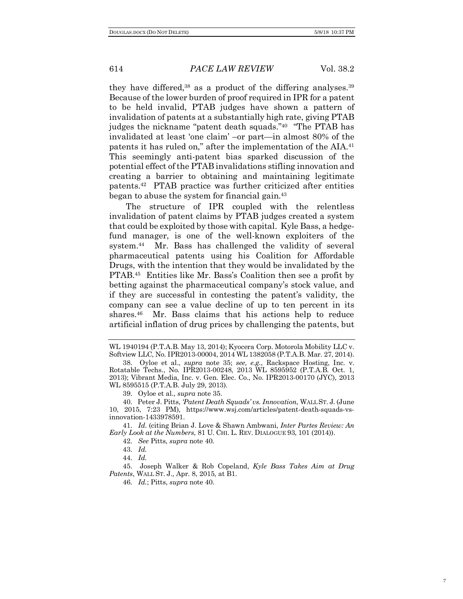they have differed, $38$  as a product of the differing analyses. $39$ Because of the lower burden of proof required in IPR for a patent to be held invalid, PTAB judges have shown a pattern of invalidation of patents at a substantially high rate, giving PTAB judges the nickname "patent death squads."40 "The PTAB has invalidated at least 'one claim' –or part—in almost 80% of the patents it has ruled on," after the implementation of the AIA.41 This seemingly anti-patent bias sparked discussion of the potential effect of the PTAB invalidations stifling innovation and creating a barrier to obtaining and maintaining legitimate patents.42 PTAB practice was further criticized after entities began to abuse the system for financial gain.43

The structure of IPR coupled with the relentless invalidation of patent claims by PTAB judges created a system that could be exploited by those with capital. Kyle Bass, a hedgefund manager, is one of the well-known exploiters of the system.<sup>44</sup> Mr. Bass has challenged the validity of several pharmaceutical patents using his Coalition for Affordable Drugs, with the intention that they would be invalidated by the PTAB.45 Entities like Mr. Bass's Coalition then see a profit by betting against the pharmaceutical company's stock value, and if they are successful in contesting the patent's validity, the company can see a value decline of up to ten percent in its shares.<sup>46</sup> Mr. Bass claims that his actions help to reduce artificial inflation of drug prices by challenging the patents, but

39. Oyloe et al., *supra* note 35.

40. Peter J. Pitts, *'Patent Death Squads' vs. Innovation*, WALL ST. J. (June 10, 2015, 7:23 PM), https://www.wsj.com/articles/patent-death-squads-vsinnovation-1433978591.

41. *Id.* (citing Brian J. Love & Shawn Ambwani, *Inter Partes Review: An Early Look at the Numbers*, 81 U. CHI. L. REV. DIALOGUE 93, 101 (2014)).

42. *See* Pitts, *supra* note 40*.*

43. *Id.*

44. *Id.*

45. Joseph Walker & Rob Copeland, *Kyle Bass Takes Aim at Drug Patents*, WALL ST. J., Apr. 8, 2015, at B1.

46. *Id.*; Pitts, *supra* note 40.

WL 1940194 (P.T.A.B. May 13, 2014); Kyocera Corp. Motorola Mobility LLC v. Softview LLC, No. IPR2013-00004, 2014 WL 1382058 (P.T.A.B. Mar. 27, 2014).

<sup>38.</sup> Oyloe et al., *supra* note 35; *see, e.g.*, Rackspace Hosting, Inc. v. Rotatable Techs., No. IPR2013-00248, 2013 WL 8595952 (P.T.A.B. Oct. 1, 2013); Vibrant Media, Inc. v. Gen. Elec. Co., No. IPR2013-00170 (JYC), 2013 WL 8595515 (P.T.A.B. July 29, 2013).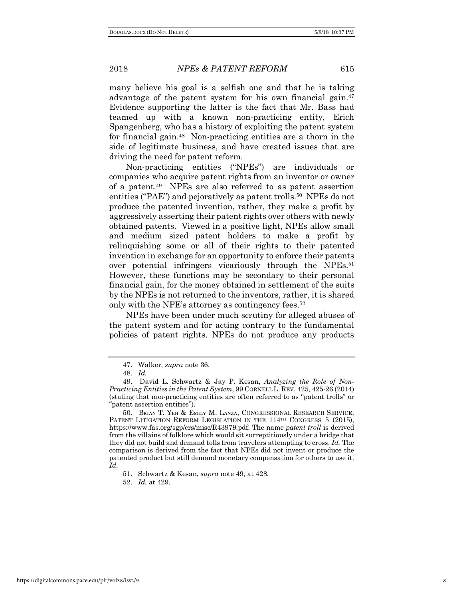many believe his goal is a selfish one and that he is taking advantage of the patent system for his own financial gain.47 Evidence supporting the latter is the fact that Mr. Bass had teamed up with a known non-practicing entity, Erich Spangenberg, who has a history of exploiting the patent system for financial gain.48 Non-practicing entities are a thorn in the side of legitimate business, and have created issues that are driving the need for patent reform.

Non-practicing entities ("NPEs") are individuals or companies who acquire patent rights from an inventor or owner of a patent.49 NPEs are also referred to as patent assertion entities ("PAE") and pejoratively as patent trolls.<sup>50</sup> NPEs do not produce the patented invention, rather, they make a profit by aggressively asserting their patent rights over others with newly obtained patents. Viewed in a positive light, NPEs allow small and medium sized patent holders to make a profit by relinquishing some or all of their rights to their patented invention in exchange for an opportunity to enforce their patents over potential infringers vicariously through the NPEs.51 However, these functions may be secondary to their personal financial gain, for the money obtained in settlement of the suits by the NPEs is not returned to the inventors, rather, it is shared only with the NPE's attorney as contingency fees.<sup>52</sup>

NPEs have been under much scrutiny for alleged abuses of the patent system and for acting contrary to the fundamental policies of patent rights. NPEs do not produce any products

https://digitalcommons.pace.edu/plr/vol38/iss2/9 8

<sup>47.</sup> Walker, *supra* note 36.

<sup>48.</sup> *Id.*

<sup>49.</sup> David L. Schwartz & Jay P. Kesan, *Analyzing the Role of Non-Practicing Entities in the Patent System*, 99 CORNELL L. REV. 425, 425-26 (2014) (stating that non-practicing entities are often referred to as "patent trolls" or "patent assertion entities").

<sup>50.</sup> Bʀɪᴀɴ T. Yᴇʜ & Eᴍɪʟʏ M. Lᴀɴᴢᴀ, CONGRESSIONAL RESEARCH SERVICE, PATENT LITIGATION REFORM LEGISLATION IN THE 114<sup>TH</sup> CONGRESS 5 (2015), https://www.fas.org/sgp/crs/misc/R43979.pdf. The name *patent troll* is derived from the villains of folklore which would sit surreptitiously under a bridge that they did not build and demand tolls from travelers attempting to cross. *Id.* The comparison is derived from the fact that NPEs did not invent or produce the patented product but still demand monetary compensation for others to use it. *Id.* 

<sup>51.</sup> Schwartz & Kesan, *supra* note 49, at 428.

<sup>52.</sup> *Id.* at 429.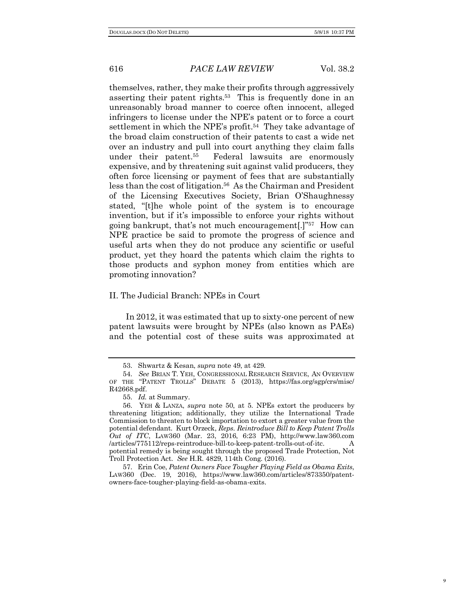themselves, rather, they make their profits through aggressively asserting their patent rights.53 This is frequently done in an unreasonably broad manner to coerce often innocent, alleged infringers to license under the NPE's patent or to force a court settlement in which the NPE's profit.<sup>54</sup> They take advantage of the broad claim construction of their patents to cast a wide net over an industry and pull into court anything they claim falls under their patent.55 Federal lawsuits are enormously expensive, and by threatening suit against valid producers, they often force licensing or payment of fees that are substantially less than the cost of litigation.56 As the Chairman and President of the Licensing Executives Society, Brian O'Shaughnessy stated, "[t]he whole point of the system is to encourage invention, but if it's impossible to enforce your rights without going bankrupt, that's not much encouragement[.]"57 How can NPE practice be said to promote the progress of science and useful arts when they do not produce any scientific or useful product, yet they hoard the patents which claim the rights to those products and syphon money from entities which are promoting innovation?

# II. The Judicial Branch: NPEs in Court

In 2012, it was estimated that up to sixty-one percent of new patent lawsuits were brought by NPEs (also known as PAEs) and the potential cost of these suits was approximated at

<sup>53.</sup> Shwartz & Kesan, *supra* note 49, at 429.

<sup>54.</sup> *See* BRIAN T. YEH, CONGRESSIONAL RESEARCH SERVICE, AN OVERVIEW OF THE "PATENT TROLLS" DEBATE 5 (2013), https://fas.org/sgp/crs/misc/ R42668.pdf.

<sup>55.</sup> *Id.* at Summary.

<sup>56.</sup> YEH & LANZA, *supra* note 50, at 5. NPEs extort the producers by threatening litigation; additionally, they utilize the International Trade Commission to threaten to block importation to extort a greater value from the potential defendant. Kurt Orzeck, *Reps. Reintroduce Bill to Keep Patent Trolls Out of ITC*, LAW360 (Mar. 23, 2016, 6:23 PM), http://www.law360.com /articles/775112/reps-reintroduce-bill-to-keep-patent-trolls-out-of-itc. A potential remedy is being sought through the proposed Trade Protection, Not Troll Protection Act. *See* H.R. 4829, 114th Cong. (2016).

<sup>57.</sup> Erin Coe, *Patent Owners Face Tougher Playing Field as Obama Exits*, LAW360 (Dec. 19, 2016), https://www.law360.com/articles/873350/patentowners-face-tougher-playing-field-as-obama-exits.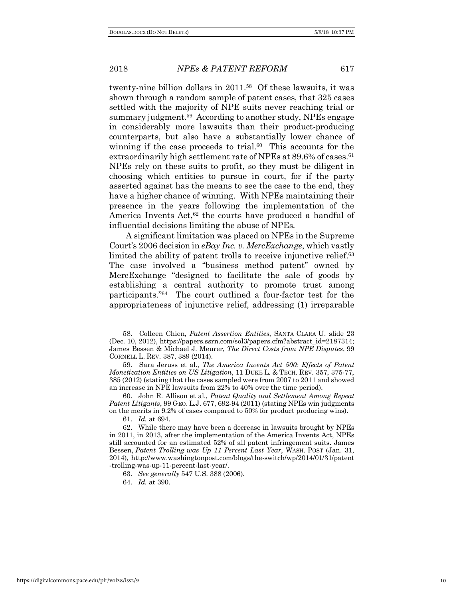twenty-nine billion dollars in 2011.58 Of these lawsuits, it was shown through a random sample of patent cases, that 325 cases settled with the majority of NPE suits never reaching trial or summary judgment.59 According to another study, NPEs engage in considerably more lawsuits than their product-producing counterparts, but also have a substantially lower chance of winning if the case proceeds to trial.<sup>60</sup> This accounts for the extraordinarily high settlement rate of NPEs at 89.6% of cases.<sup>61</sup> NPEs rely on these suits to profit, so they must be diligent in choosing which entities to pursue in court, for if the party asserted against has the means to see the case to the end, they have a higher chance of winning. With NPEs maintaining their presence in the years following the implementation of the America Invents Act,<sup>62</sup> the courts have produced a handful of influential decisions limiting the abuse of NPEs.

A significant limitation was placed on NPEs in the Supreme Court's 2006 decision in *eBay Inc. v. MercExchange*, which vastly limited the ability of patent trolls to receive injunctive relief.<sup>63</sup> The case involved a "business method patent" owned by MercExchange "designed to facilitate the sale of goods by establishing a central authority to promote trust among participants."64 The court outlined a four-factor test for the appropriateness of injunctive relief, addressing (1) irreparable

63. *See generally* 547 U.S. 388 (2006).

64. *Id.* at 390.

<sup>58.</sup> Colleen Chien, *Patent Assertion Entities*, SANTA CLARA U. slide 23 (Dec. 10, 2012), https://papers.ssrn.com/sol3/papers.cfm?abstract\_id=2187314; James Bessen & Michael J. Meurer, *The Direct Costs from NPE Disputes*, 99 CORNELL L. REV. 387, 389 (2014).

<sup>59.</sup> Sara Jeruss et al., *The America Invents Act 500: Effects of Patent Monetization Entities on US Litigation*, 11 DUKE L. & TECH. REV. 357, 375-77, 385 (2012) (stating that the cases sampled were from 2007 to 2011 and showed an increase in NPE lawsuits from 22% to 40% over the time period).

<sup>60.</sup> John R. Allison et al., *Patent Quality and Settlement Among Repeat Patent Litigants*, 99 GEO. L.J. 677, 692-94 (2011) (stating NPEs win judgments on the merits in 9.2% of cases compared to 50% for product producing wins).

<sup>61.</sup> *Id.* at 694.

<sup>62.</sup> While there may have been a decrease in lawsuits brought by NPEs in 2011, in 2013, after the implementation of the America Invents Act, NPEs still accounted for an estimated 52% of all patent infringement suits. James Bessen, *Patent Trolling was Up 11 Percent Last Year*, WASH. POST (Jan. 31, 2014), http://www.washingtonpost.com/blogs/the-switch/wp/2014/01/31/patent -trolling-was-up-11-percent-last-year/.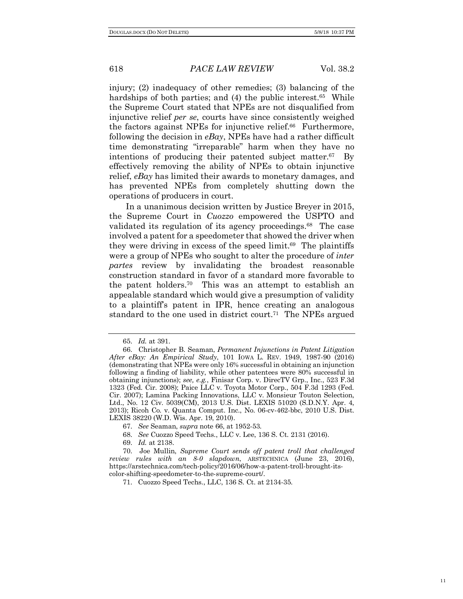injury; (2) inadequacy of other remedies; (3) balancing of the hardships of both parties; and (4) the public interest.<sup>65</sup> While the Supreme Court stated that NPEs are not disqualified from injunctive relief *per se*, courts have since consistently weighed the factors against NPEs for injunctive relief.<sup>66</sup> Furthermore, following the decision in *eBay*, NPEs have had a rather difficult time demonstrating "irreparable" harm when they have no intentions of producing their patented subject matter.67 By effectively removing the ability of NPEs to obtain injunctive relief, *eBay* has limited their awards to monetary damages, and has prevented NPEs from completely shutting down the operations of producers in court.

In a unanimous decision written by Justice Breyer in 2015, the Supreme Court in *Cuozzo* empowered the USPTO and validated its regulation of its agency proceedings.<sup>68</sup> The case involved a patent for a speedometer that showed the driver when they were driving in excess of the speed limit. $69$  The plaintiffs were a group of NPEs who sought to alter the procedure of *inter partes* review by invalidating the broadest reasonable construction standard in favor of a standard more favorable to the patent holders.70 This was an attempt to establish an appealable standard which would give a presumption of validity to a plaintiff's patent in IPR, hence creating an analogous standard to the one used in district court.71 The NPEs argued

68. *See* Cuozzo Speed Techs., LLC v. Lee, 136 S. Ct. 2131 (2016).

<sup>65.</sup> *Id.* at 391.

<sup>66.</sup> Christopher B. Seaman, *Permanent Injunctions in Patent Litigation After eBay: An Empirical Study*, 101 IOWA L. REV. 1949, 1987-90 (2016) (demonstrating that NPEs were only 16% successful in obtaining an injunction following a finding of liability, while other patentees were 80% successful in obtaining injunctions); *see, e.g.*, Finisar Corp. v. DirecTV Grp., Inc., 523 F.3d 1323 (Fed. Cir. 2008); Paice LLC v. Toyota Motor Corp., 504 F.3d 1293 (Fed. Cir. 2007); Lamina Packing Innovations, LLC v. Monsieur Touton Selection, Ltd., No. 12 Civ. 5039(CM), 2013 U.S. Dist. LEXIS 51020 (S.D.N.Y. Apr. 4, 2013); Ricoh Co. v. Quanta Comput. Inc., No. 06-cv-462-bbc, 2010 U.S. Dist. LEXIS 38220 (W.D. Wis. Apr. 19, 2010).

<sup>67.</sup> *See* Seaman, *supra* note 66, at 1952-53.

<sup>69.</sup> *Id.* at 2138.

<sup>70.</sup> Joe Mullin, *Supreme Court sends off patent troll that challenged review rules with an 8-0 slapdown*, ARSTECHNICA (June 23, 2016), https://arstechnica.com/tech-policy/2016/06/how-a-patent-troll-brought-itscolor-shifting-speedometer-to-the-supreme-court/.

<sup>71.</sup> Cuozzo Speed Techs., LLC, 136 S. Ct. at 2134-35.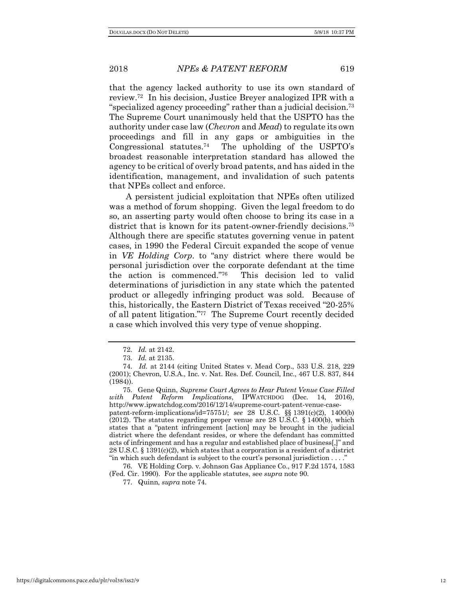that the agency lacked authority to use its own standard of review.72 In his decision, Justice Breyer analogized IPR with a "specialized agency proceeding" rather than a judicial decision.73 The Supreme Court unanimously held that the USPTO has the authority under case law (*Chevron* and *Mead*) to regulate its own proceedings and fill in any gaps or ambiguities in the Congressional statutes.74 The upholding of the USPTO's broadest reasonable interpretation standard has allowed the agency to be critical of overly broad patents, and has aided in the identification, management, and invalidation of such patents that NPEs collect and enforce.

A persistent judicial exploitation that NPEs often utilized was a method of forum shopping. Given the legal freedom to do so, an asserting party would often choose to bring its case in a district that is known for its patent-owner-friendly decisions.<sup>75</sup> Although there are specific statutes governing venue in patent cases, in 1990 the Federal Circuit expanded the scope of venue in *VE Holding Corp*. to "any district where there would be personal jurisdiction over the corporate defendant at the time the action is commenced."76 This decision led to valid determinations of jurisdiction in any state which the patented product or allegedly infringing product was sold. Because of this, historically, the Eastern District of Texas received "20-25% of all patent litigation."77 The Supreme Court recently decided a case which involved this very type of venue shopping.

<sup>72.</sup> *Id.* at 2142.

<sup>73.</sup> *Id.* at 2135.

<sup>74.</sup> *Id.* at 2144 (citing United States v. Mead Corp., 533 U.S. 218, 229 (2001); Chevron, U.S.A., Inc. v. Nat. Res. Def. Council, Inc., 467 U.S. 837, 844 (1984)).

<sup>75.</sup> Gene Quinn, *Supreme Court Agrees to Hear Patent Venue Case Filled with Patent Reform Implications*, IPWATCHDOG (Dec. 14, 2016), http://www.ipwatchdog.com/2016/12/14/supreme-court-patent-venue-casepatent-reform-implications/id=75751/; *see* 28 U.S.C. §§ 1391(c)(2), 1400(b) (2012). The statutes regarding proper venue are 28 U.S.C.  $\S$  1400(b), which states that a "patent infringement [action] may be brought in the judicial district where the defendant resides, or where the defendant has committed acts of infringement and has a regular and established place of business[,]" and 28 U.S.C. § 1391(c)(2), which states that a corporation is a resident of a district "in which such defendant is subject to the court's personal jurisdiction . . . ."

<sup>76.</sup> VE Holding Corp. v. Johnson Gas Appliance Co., 917 F.2d 1574, 1583 (Fed. Cir. 1990). For the applicable statutes, see *supra* note 90.

<sup>77.</sup> Quinn, *supra* note 74.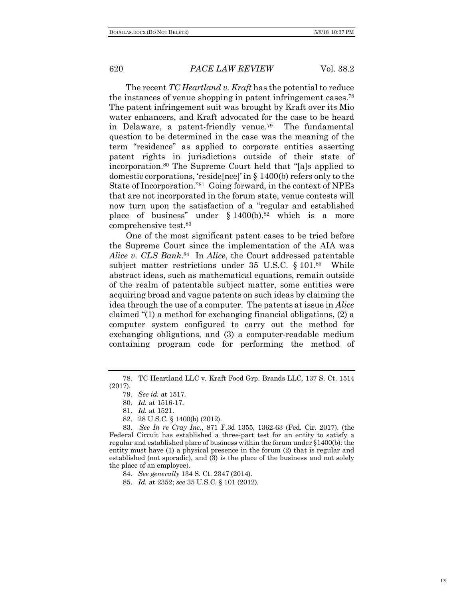The recent *TC Heartland v. Kraft* has the potential to reduce the instances of venue shopping in patent infringement cases.78 The patent infringement suit was brought by Kraft over its Mio water enhancers, and Kraft advocated for the case to be heard in Delaware, a patent-friendly venue.79 The fundamental question to be determined in the case was the meaning of the term "residence" as applied to corporate entities asserting patent rights in jurisdictions outside of their state of incorporation.80 The Supreme Court held that "[a]s applied to domestic corporations, 'reside[nce]' in § 1400(b) refers only to the State of Incorporation."81 Going forward, in the context of NPEs that are not incorporated in the forum state, venue contests will now turn upon the satisfaction of a "regular and established place of business" under  $§ 1400(b)$ ,<sup>82</sup> which is a more comprehensive test.83

One of the most significant patent cases to be tried before the Supreme Court since the implementation of the AIA was *Alice v. CLS Bank*. 84 In *Alice*, the Court addressed patentable subject matter restrictions under 35 U.S.C. § 101.85 While abstract ideas, such as mathematical equations, remain outside of the realm of patentable subject matter, some entities were acquiring broad and vague patents on such ideas by claiming the idea through the use of a computer. The patents at issue in *Alice* claimed "(1) a method for exchanging financial obligations, (2) a computer system configured to carry out the method for exchanging obligations, and (3) a computer-readable medium containing program code for performing the method of

- 81. *Id.* at 1521.
- 82. 28 U.S.C. § 1400(b) (2012).

85. *Id.* at 2352; *see* 35 U.S.C. § 101 (2012).

<sup>78.</sup> TC Heartland LLC v. Kraft Food Grp. Brands LLC, 137 S. Ct. 1514 (2017).

<sup>79.</sup> *See id.* at 1517.

<sup>80.</sup> *Id.* at 1516-17.

<sup>83.</sup> *See In re Cray Inc.*, 871 F.3d 1355, 1362-63 (Fed. Cir. 2017). (the Federal Circuit has established a three-part test for an entity to satisfy a regular and established place of business within the forum under §1400(b): the entity must have (1) a physical presence in the forum (2) that is regular and established (not sporadic), and (3) is the place of the business and not solely the place of an employee).

<sup>84.</sup> *See generally* 134 S. Ct. 2347 (2014).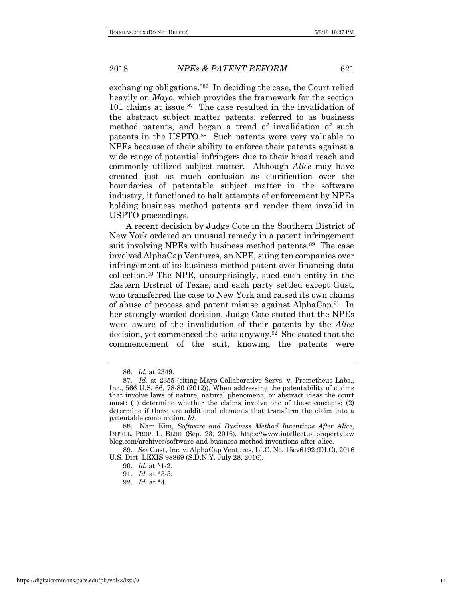exchanging obligations."86 In deciding the case, the Court relied heavily on *Mayo*, which provides the framework for the section 101 claims at issue.<sup>87</sup> The case resulted in the invalidation of the abstract subject matter patents, referred to as business method patents, and began a trend of invalidation of such patents in the USPTO.<sup>88</sup> Such patents were very valuable to NPEs because of their ability to enforce their patents against a wide range of potential infringers due to their broad reach and commonly utilized subject matter. Although *Alice* may have created just as much confusion as clarification over the boundaries of patentable subject matter in the software industry, it functioned to halt attempts of enforcement by NPEs holding business method patents and render them invalid in USPTO proceedings.

A recent decision by Judge Cote in the Southern District of New York ordered an unusual remedy in a patent infringement suit involving NPEs with business method patents.<sup>89</sup> The case involved AlphaCap Ventures, an NPE, suing ten companies over infringement of its business method patent over financing data collection.90 The NPE, unsurprisingly, sued each entity in the Eastern District of Texas, and each party settled except Gust, who transferred the case to New York and raised its own claims of abuse of process and patent misuse against AlphaCap.<sup>91</sup> In her strongly-worded decision, Judge Cote stated that the NPEs were aware of the invalidation of their patents by the *Alice*  decision, yet commenced the suits anyway.92 She stated that the commencement of the suit, knowing the patents were

<sup>86.</sup> *Id.* at 2349.

<sup>87.</sup> *Id.* at 2355 (citing Mayo Collaborative Servs. v. Prometheus Labs., Inc., 566 U.S. 66, 78-80 (2012)). When addressing the patentability of claims that involve laws of nature, natural phenomena, or abstract ideas the court must: (1) determine whether the claims involve one of these concepts; (2) determine if there are additional elements that transform the claim into a patentable combination. *Id.*

<sup>88.</sup> Nam Kim, *Software and Business Method Inventions After Alice*, INTELL. PROP. L. BLOG (Sep. 23, 2016), https://www.intellectualpropertylaw blog.com/archives/software-and-business-method-inventions-after-alice.

<sup>89.</sup> *See* Gust, Inc. v. AlphaCap Ventures, LLC, No. 15cv6192 (DLC), 2016 U.S. Dist. LEXIS 98869 (S.D.N.Y. July 28, 2016).

<sup>90.</sup> *Id.* at \*1-2.

<sup>91.</sup> *Id.* at \*3-5.

<sup>92.</sup> *Id.* at \*4.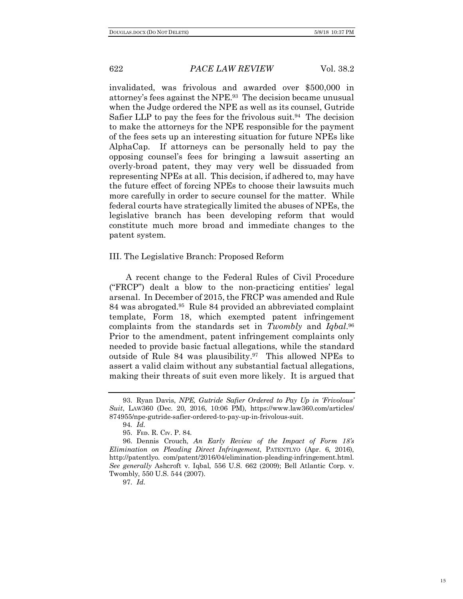invalidated, was frivolous and awarded over \$500,000 in attorney's fees against the NPE.93 The decision became unusual when the Judge ordered the NPE as well as its counsel, Gutride Safier LLP to pay the fees for the frivolous suit.<sup>94</sup> The decision to make the attorneys for the NPE responsible for the payment of the fees sets up an interesting situation for future NPEs like AlphaCap. If attorneys can be personally held to pay the opposing counsel's fees for bringing a lawsuit asserting an overly-broad patent, they may very well be dissuaded from representing NPEs at all. This decision, if adhered to, may have the future effect of forcing NPEs to choose their lawsuits much more carefully in order to secure counsel for the matter. While federal courts have strategically limited the abuses of NPEs, the legislative branch has been developing reform that would constitute much more broad and immediate changes to the patent system.

#### III. The Legislative Branch: Proposed Reform

A recent change to the Federal Rules of Civil Procedure ("FRCP") dealt a blow to the non-practicing entities' legal arsenal. In December of 2015, the FRCP was amended and Rule 84 was abrogated.95 Rule 84 provided an abbreviated complaint template, Form 18, which exempted patent infringement complaints from the standards set in *Twombly* and *Iqbal*. 96 Prior to the amendment, patent infringement complaints only needed to provide basic factual allegations, while the standard outside of Rule 84 was plausibility.97 This allowed NPEs to assert a valid claim without any substantial factual allegations, making their threats of suit even more likely. It is argued that

<sup>93.</sup> Ryan Davis, *NPE, Gutride Safier Ordered to Pay Up in 'Frivolous' Suit*, LAW360 (Dec. 20, 2016, 10:06 PM), https://www.law360.com/articles/ 874955/npe-gutride-safier-ordered-to-pay-up-in-frivolous-suit.

<sup>94</sup>*. Id.*

<sup>95.</sup> FED. R. CIV. P. 84.

<sup>96.</sup> Dennis Crouch, *An Early Review of the Impact of Form 18's Elimination on Pleading Direct Infringement*, PATENTLYO (Apr. 6, 2016), http://patentlyo. com/patent/2016/04/elimination-pleading-infringement.html. *See generally* Ashcroft v. Iqbal, 556 U.S. 662 (2009); Bell Atlantic Corp. v. Twombly, 550 U.S. 544 (2007).

<sup>97.</sup> *Id.*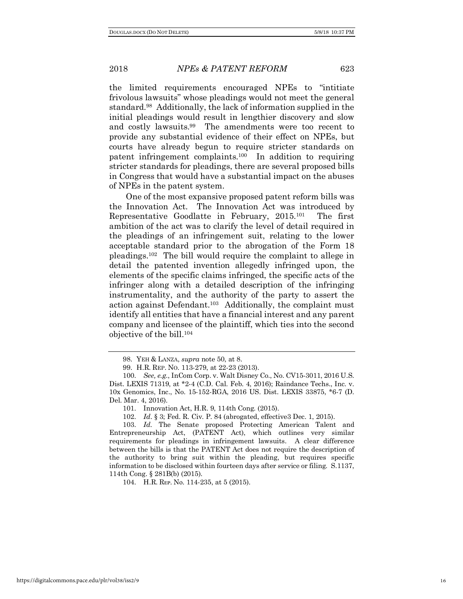the limited requirements encouraged NPEs to "intitiate frivolous lawsuits" whose pleadings would not meet the general standard.98 Additionally, the lack of information supplied in the initial pleadings would result in lengthier discovery and slow and costly lawsuits.99 The amendments were too recent to provide any substantial evidence of their effect on NPEs, but courts have already begun to require stricter standards on patent infringement complaints.100 In addition to requiring stricter standards for pleadings, there are several proposed bills in Congress that would have a substantial impact on the abuses of NPEs in the patent system.

One of the most expansive proposed patent reform bills was the Innovation Act. The Innovation Act was introduced by Representative Goodlatte in February, 2015.101 The first ambition of the act was to clarify the level of detail required in the pleadings of an infringement suit, relating to the lower acceptable standard prior to the abrogation of the Form 18 pleadings.102 The bill would require the complaint to allege in detail the patented invention allegedly infringed upon, the elements of the specific claims infringed, the specific acts of the infringer along with a detailed description of the infringing instrumentality, and the authority of the party to assert the action against Defendant.103 Additionally, the complaint must identify all entities that have a financial interest and any parent company and licensee of the plaintiff, which ties into the second objective of the bill.104

104. H.R. REP. No. 114-235, at 5 (2015).

<sup>98.</sup> YEH & LANZA, *supra* note 50, at 8.

<sup>99.</sup> H.R. REP. NO. 113-279, at 22-23 (2013).

<sup>100.</sup> *See, e.g.*, InCom Corp. v. Walt Disney Co., No. CV15-3011, 2016 U.S. Dist. LEXIS 71319, at \*2-4 (C.D. Cal. Feb. 4, 2016); Raindance Techs., Inc. v. 10x Genomics, Inc., No. 15-152-RGA, 2016 US. Dist. LEXIS 33875, \*6-7 (D. Del. Mar. 4, 2016).

<sup>101.</sup> Innovation Act, H.R. 9, 114th Cong. (2015).

<sup>102.</sup> *Id*. § 3; Fed. R. Civ. P. 84 (abrogated, effective3 Dec. 1, 2015).

<sup>103.</sup> *Id.* The Senate proposed Protecting American Talent and Entrepreneurship Act, (PATENT Act), which outlines very similar requirements for pleadings in infringement lawsuits. A clear difference between the bills is that the PATENT Act does not require the description of the authority to bring suit within the pleading, but requires specific information to be disclosed within fourteen days after service or filing. S.1137, 114th Cong. § 281B(b) (2015).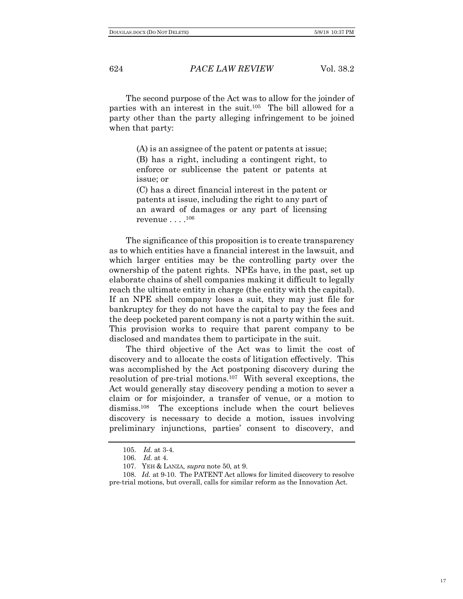The second purpose of the Act was to allow for the joinder of parties with an interest in the suit.105 The bill allowed for a party other than the party alleging infringement to be joined when that party:

> (A) is an assignee of the patent or patents at issue; (B) has a right, including a contingent right, to enforce or sublicense the patent or patents at issue; or

> (C) has a direct financial interest in the patent or patents at issue, including the right to any part of an award of damages or any part of licensing revenue  $\ldots .^{106}$

The significance of this proposition is to create transparency as to which entities have a financial interest in the lawsuit, and which larger entities may be the controlling party over the ownership of the patent rights. NPEs have, in the past, set up elaborate chains of shell companies making it difficult to legally reach the ultimate entity in charge (the entity with the capital). If an NPE shell company loses a suit, they may just file for bankruptcy for they do not have the capital to pay the fees and the deep pocketed parent company is not a party within the suit. This provision works to require that parent company to be disclosed and mandates them to participate in the suit.

The third objective of the Act was to limit the cost of discovery and to allocate the costs of litigation effectively. This was accomplished by the Act postponing discovery during the resolution of pre-trial motions.107 With several exceptions, the Act would generally stay discovery pending a motion to sever a claim or for misjoinder, a transfer of venue, or a motion to dismiss.<sup>108</sup> The exceptions include when the court believes discovery is necessary to decide a motion, issues involving preliminary injunctions, parties' consent to discovery, and

<sup>105.</sup> *Id.* at 3-4.

<sup>106.</sup> *Id.* at 4.

<sup>107.</sup> YEH & LANZA, *supra* note 50, at 9.

<sup>108.</sup> *Id.* at 9-10. The PATENT Act allows for limited discovery to resolve pre-trial motions, but overall, calls for similar reform as the Innovation Act.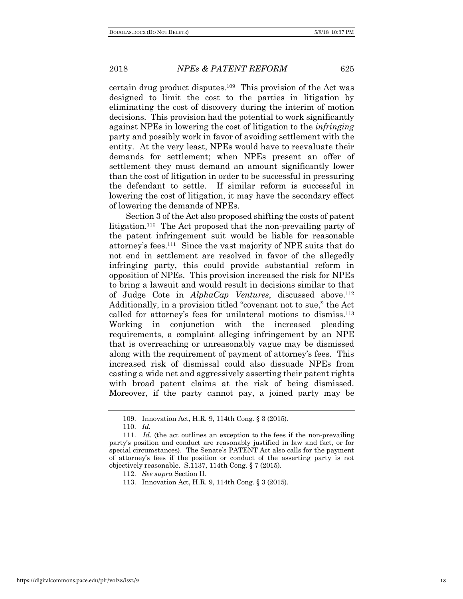certain drug product disputes.109 This provision of the Act was designed to limit the cost to the parties in litigation by eliminating the cost of discovery during the interim of motion decisions. This provision had the potential to work significantly against NPEs in lowering the cost of litigation to the *infringing* party and possibly work in favor of avoiding settlement with the entity. At the very least, NPEs would have to reevaluate their demands for settlement; when NPEs present an offer of settlement they must demand an amount significantly lower than the cost of litigation in order to be successful in pressuring the defendant to settle. If similar reform is successful in lowering the cost of litigation, it may have the secondary effect of lowering the demands of NPEs.

Section 3 of the Act also proposed shifting the costs of patent litigation.<sup>110</sup> The Act proposed that the non-prevailing party of the patent infringement suit would be liable for reasonable attorney's fees.111 Since the vast majority of NPE suits that do not end in settlement are resolved in favor of the allegedly infringing party, this could provide substantial reform in opposition of NPEs. This provision increased the risk for NPEs to bring a lawsuit and would result in decisions similar to that of Judge Cote in *AlphaCap Ventures*, discussed above.112 Additionally, in a provision titled "covenant not to sue," the Act called for attorney's fees for unilateral motions to dismiss.113 Working in conjunction with the increased pleading requirements, a complaint alleging infringement by an NPE that is overreaching or unreasonably vague may be dismissed along with the requirement of payment of attorney's fees. This increased risk of dismissal could also dissuade NPEs from casting a wide net and aggressively asserting their patent rights with broad patent claims at the risk of being dismissed. Moreover, if the party cannot pay, a joined party may be

<sup>109.</sup> Innovation Act, H.R. 9, 114th Cong. § 3 (2015).

<sup>110.</sup> *Id.* 

<sup>111.</sup> *Id.* (the act outlines an exception to the fees if the non-prevailing party's position and conduct are reasonably justified in law and fact, or for special circumstances). The Senate's PATENT Act also calls for the payment of attorney's fees if the position or conduct of the asserting party is not objectively reasonable. S.1137, 114th Cong. § 7 (2015).

<sup>112.</sup> *See supra* Section II.

<sup>113.</sup> Innovation Act, H.R. 9, 114th Cong. § 3 (2015).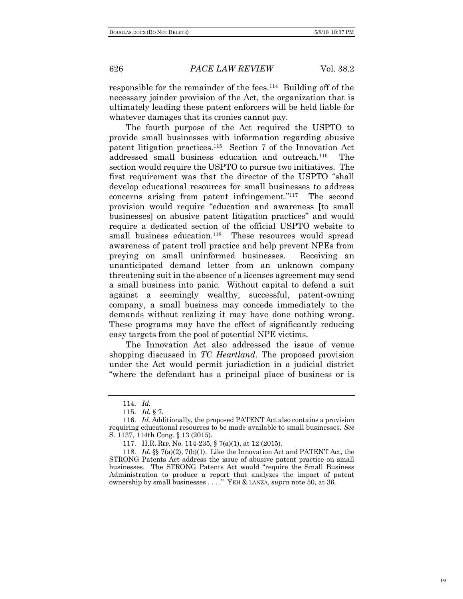responsible for the remainder of the fees.114 Building off of the necessary joinder provision of the Act, the organization that is ultimately leading these patent enforcers will be held liable for whatever damages that its cronies cannot pay.

The fourth purpose of the Act required the USPTO to provide small businesses with information regarding abusive patent litigation practices.115 Section 7 of the Innovation Act addressed small business education and outreach.116 The section would require the USPTO to pursue two initiatives. The first requirement was that the director of the USPTO "shall develop educational resources for small businesses to address concerns arising from patent infringement."117 The second provision would require "education and awareness [to small businesses] on abusive patent litigation practices" and would require a dedicated section of the official USPTO website to small business education.<sup>118</sup> These resources would spread awareness of patent troll practice and help prevent NPEs from preying on small uninformed businesses. Receiving an unanticipated demand letter from an unknown company threatening suit in the absence of a licenses agreement may send a small business into panic. Without capital to defend a suit against a seemingly wealthy, successful, patent-owning company, a small business may concede immediately to the demands without realizing it may have done nothing wrong. These programs may have the effect of significantly reducing easy targets from the pool of potential NPE victims.

The Innovation Act also addressed the issue of venue shopping discussed in *TC Heartland*. The proposed provision under the Act would permit jurisdiction in a judicial district "where the defendant has a principal place of business or is

<sup>114.</sup> *Id.*

<sup>115.</sup> *Id.* § 7.

<sup>116.</sup> *Id.* Additionally, the proposed PATENT Act also contains a provision requiring educational resources to be made available to small businesses. *See*  S. 1137, 114th Cong. § 13 (2015).

<sup>117.</sup> H.R. REP. No. 114-235, § 7(a)(1), at 12 (2015).

<sup>118.</sup> *Id.* §§ 7(a)(2), 7(b)(1). Like the Innovation Act and PATENT Act, the STRONG Patents Act address the issue of abusive patent practice on small businesses. The STRONG Patents Act would "require the Small Business Administration to produce a report that analyzes the impact of patent ownership by small businesses . . . ." YEH & LANZA, *supra* note 50, at 36.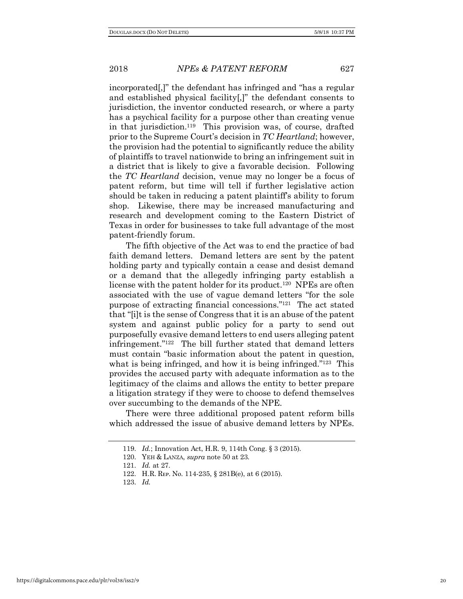incorporated[,]" the defendant has infringed and "has a regular and established physical facility[,]" the defendant consents to jurisdiction, the inventor conducted research, or where a party has a psychical facility for a purpose other than creating venue in that jurisdiction.119 This provision was, of course, drafted prior to the Supreme Court's decision in *TC Heartland*; however, the provision had the potential to significantly reduce the ability of plaintiffs to travel nationwide to bring an infringement suit in a district that is likely to give a favorable decision. Following the *TC Heartland* decision, venue may no longer be a focus of patent reform, but time will tell if further legislative action should be taken in reducing a patent plaintiff's ability to forum shop. Likewise, there may be increased manufacturing and research and development coming to the Eastern District of Texas in order for businesses to take full advantage of the most patent-friendly forum.

The fifth objective of the Act was to end the practice of bad faith demand letters. Demand letters are sent by the patent holding party and typically contain a cease and desist demand or a demand that the allegedly infringing party establish a license with the patent holder for its product.<sup>120</sup> NPEs are often associated with the use of vague demand letters "for the sole purpose of extracting financial concessions."121 The act stated that "[i]t is the sense of Congress that it is an abuse of the patent system and against public policy for a party to send out purposefully evasive demand letters to end users alleging patent infringement."122 The bill further stated that demand letters must contain "basic information about the patent in question, what is being infringed, and how it is being infringed."<sup>123</sup> This provides the accused party with adequate information as to the legitimacy of the claims and allows the entity to better prepare a litigation strategy if they were to choose to defend themselves over succumbing to the demands of the NPE.

There were three additional proposed patent reform bills which addressed the issue of abusive demand letters by NPEs.

<sup>119.</sup> *Id.*; Innovation Act, H.R. 9, 114th Cong. § 3 (2015).

<sup>120.</sup> YEH & LANZA, *supra* note 50 at 23.

<sup>121.</sup> *Id.* at 27.

<sup>122.</sup> H.R. REP. No. 114-235, § 281B(e), at 6 (2015).

<sup>123.</sup> *Id.*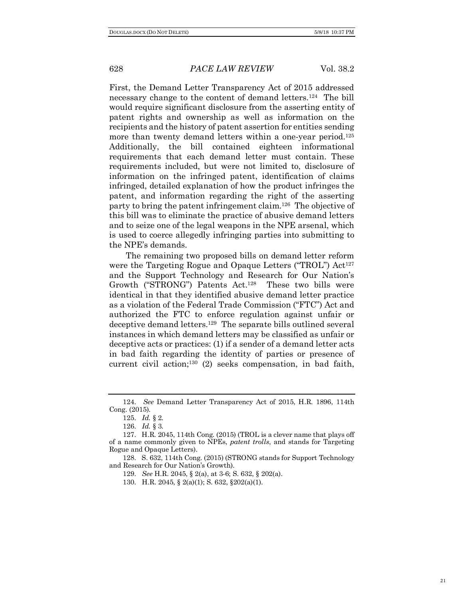First, the Demand Letter Transparency Act of 2015 addressed necessary change to the content of demand letters.124 The bill would require significant disclosure from the asserting entity of patent rights and ownership as well as information on the recipients and the history of patent assertion for entities sending more than twenty demand letters within a one-year period.<sup>125</sup> Additionally, the bill contained eighteen informational requirements that each demand letter must contain. These requirements included, but were not limited to, disclosure of information on the infringed patent, identification of claims infringed, detailed explanation of how the product infringes the patent, and information regarding the right of the asserting party to bring the patent infringement claim.126 The objective of this bill was to eliminate the practice of abusive demand letters and to seize one of the legal weapons in the NPE arsenal, which is used to coerce allegedly infringing parties into submitting to the NPE's demands.

The remaining two proposed bills on demand letter reform were the Targeting Rogue and Opaque Letters ("TROL") Act<sup>127</sup> and the Support Technology and Research for Our Nation's Growth ("STRONG") Patents Act.128 These two bills were identical in that they identified abusive demand letter practice as a violation of the Federal Trade Commission ("FTC") Act and authorized the FTC to enforce regulation against unfair or deceptive demand letters.129 The separate bills outlined several instances in which demand letters may be classified as unfair or deceptive acts or practices: (1) if a sender of a demand letter acts in bad faith regarding the identity of parties or presence of current civil action; $130$  (2) seeks compensation, in bad faith,

<sup>124.</sup> *See* Demand Letter Transparency Act of 2015, H.R. 1896, 114th Cong. (2015).

<sup>125.</sup> *Id.* § 2.

<sup>126.</sup> *Id.* § 3.

<sup>127.</sup> H.R. 2045, 114th Cong. (2015) (TROL is a clever name that plays off of a name commonly given to NPEs, *patent trolls*, and stands for Targeting Rogue and Opaque Letters).

<sup>128.</sup> S. 632, 114th Cong. (2015) (STRONG stands for Support Technology and Research for Our Nation's Growth).

<sup>129.</sup> *See* H.R. 2045, § 2(a), at 3-6; S. 632, § 202(a).

<sup>130.</sup> H.R. 2045, § 2(a)(1); S. 632, §202(a)(1).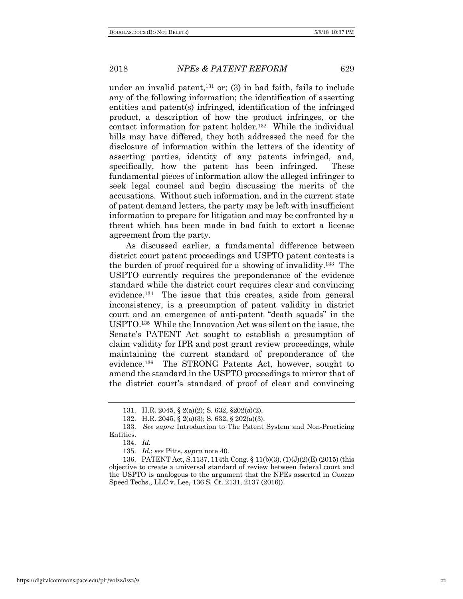under an invalid patent, $131$  or; (3) in bad faith, fails to include any of the following information; the identification of asserting entities and patent(s) infringed, identification of the infringed product, a description of how the product infringes, or the contact information for patent holder.<sup>132</sup> While the individual bills may have differed, they both addressed the need for the disclosure of information within the letters of the identity of asserting parties, identity of any patents infringed, and, specifically, how the patent has been infringed. These fundamental pieces of information allow the alleged infringer to seek legal counsel and begin discussing the merits of the accusations. Without such information, and in the current state of patent demand letters, the party may be left with insufficient information to prepare for litigation and may be confronted by a threat which has been made in bad faith to extort a license agreement from the party.

As discussed earlier, a fundamental difference between district court patent proceedings and USPTO patent contests is the burden of proof required for a showing of invalidity.133 The USPTO currently requires the preponderance of the evidence standard while the district court requires clear and convincing evidence.134 The issue that this creates, aside from general inconsistency, is a presumption of patent validity in district court and an emergence of anti-patent "death squads" in the USPTO.135 While the Innovation Act was silent on the issue, the Senate's PATENT Act sought to establish a presumption of claim validity for IPR and post grant review proceedings, while maintaining the current standard of preponderance of the evidence.136 The STRONG Patents Act, however, sought to amend the standard in the USPTO proceedings to mirror that of the district court's standard of proof of clear and convincing

<sup>131.</sup> H.R. 2045, § 2(a)(2); S. 632, §202(a)(2).

<sup>132.</sup> H.R. 2045, § 2(a)(3); S. 632, § 202(a)(3).

<sup>133.</sup> *See supra* Introduction to The Patent System and Non-Practicing Entities.

<sup>134.</sup> *Id.*

<sup>135.</sup> *Id.*; *see* Pitts, *supra* note 40.

<sup>136.</sup> PATENT Act, S.1137, 114th Cong. § 11(b)(3), (1)(J)(2)(E) (2015) (this objective to create a universal standard of review between federal court and the USPTO is analogous to the argument that the NPEs asserted in Cuozzo Speed Techs., LLC v. Lee, 136 S. Ct. 2131, 2137 (2016)).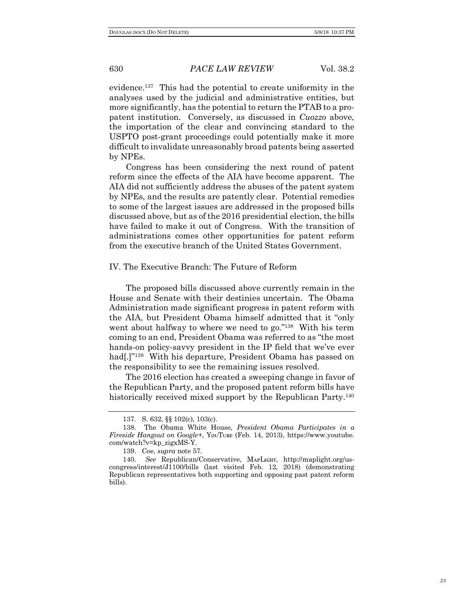evidence.137 This had the potential to create uniformity in the analyses used by the judicial and administrative entities, but more significantly, has the potential to return the PTAB to a propatent institution. Conversely, as discussed in *Cuozzo* above, the importation of the clear and convincing standard to the USPTO post-grant proceedings could potentially make it more difficult to invalidate unreasonably broad patents being asserted by NPEs.

Congress has been considering the next round of patent reform since the effects of the AIA have become apparent. The AIA did not sufficiently address the abuses of the patent system by NPEs, and the results are patently clear. Potential remedies to some of the largest issues are addressed in the proposed bills discussed above, but as of the 2016 presidential election, the bills have failed to make it out of Congress. With the transition of administrations comes other opportunities for patent reform from the executive branch of the United States Government.

### IV. The Executive Branch: The Future of Reform

The proposed bills discussed above currently remain in the House and Senate with their destinies uncertain. The Obama Administration made significant progress in patent reform with the AIA, but President Obama himself admitted that it "only went about halfway to where we need to go."<sup>138</sup> With his term coming to an end, President Obama was referred to as "the most hands-on policy-savvy president in the IP field that we've ever had<sup>[1]</sup><sup>139</sup> With his departure, President Obama has passed on the responsibility to see the remaining issues resolved.

The 2016 election has created a sweeping change in favor of the Republican Party, and the proposed patent reform bills have historically received mixed support by the Republican Party.<sup>140</sup>

<sup>137.</sup> S. 632, §§ 102(c), 103(c).

<sup>138.</sup> The Obama White House, *President Obama Participates in a Fireside Hangout on Google+*, YᴏᴜTᴜʙᴇ (Feb. 14, 2013), https://www.youtube. com/watch?v=kp\_zigxMS-Y.

<sup>139.</sup> Coe, *supra* note 57.

<sup>140.</sup> See Republican/Conservative, MAPLIGHT, http://maplight.org/uscongress/interest/J1100/bills (last visited Feb. 12, 2018) (demonstrating Republican representatives both supporting and opposing past patent reform bills).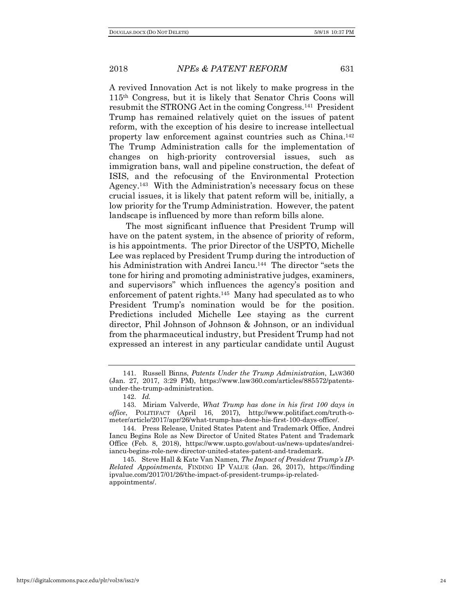A revived Innovation Act is not likely to make progress in the 115th Congress, but it is likely that Senator Chris Coons will resubmit the STRONG Act in the coming Congress.141 President Trump has remained relatively quiet on the issues of patent reform, with the exception of his desire to increase intellectual property law enforcement against countries such as China.142 The Trump Administration calls for the implementation of changes on high-priority controversial issues, such as immigration bans, wall and pipeline construction, the defeat of ISIS, and the refocusing of the Environmental Protection Agency.<sup>143</sup> With the Administration's necessary focus on these crucial issues, it is likely that patent reform will be, initially, a low priority for the Trump Administration. However, the patent landscape is influenced by more than reform bills alone.

The most significant influence that President Trump will have on the patent system, in the absence of priority of reform, is his appointments. The prior Director of the USPTO, Michelle Lee was replaced by President Trump during the introduction of his Administration with Andrei Iancu.<sup>144</sup> The director "sets the tone for hiring and promoting administrative judges, examiners, and supervisors" which influences the agency's position and enforcement of patent rights.<sup>145</sup> Many had speculated as to who President Trump's nomination would be for the position. Predictions included Michelle Lee staying as the current director, Phil Johnson of Johnson & Johnson, or an individual from the pharmaceutical industry, but President Trump had not expressed an interest in any particular candidate until August

<sup>141.</sup> Russell Binns, *Patents Under the Trump Administration*, LAW360 (Jan. 27, 2017, 3:29 PM), https://www.law360.com/articles/885572/patentsunder-the-trump-administration.

<sup>142.</sup> *Id.*

<sup>143.</sup> Miriam Valverde, *What Trump has done in his first 100 days in office*, POLITIFACT (April 16, 2017), http://www.politifact.com/truth-ometer/article/2017/apr/26/what-trump-has-done-his-first-100-days-office/.

<sup>144.</sup> Press Release, United States Patent and Trademark Office, Andrei Iancu Begins Role as New Director of United States Patent and Trademark Office (Feb. 8, 2018), https://www.uspto.gov/about-us/news-updates/andreiiancu-begins-role-new-director-united-states-patent-and-trademark.

<sup>145.</sup> Steve Hall & Kate Van Namen, *The Impact of President Trump's IP-Related Appointments*, FINDING IP VALUE (Jan. 26, 2017), https://finding ipvalue.com/2017/01/26/the-impact-of-president-trumps-ip-relatedappointments/.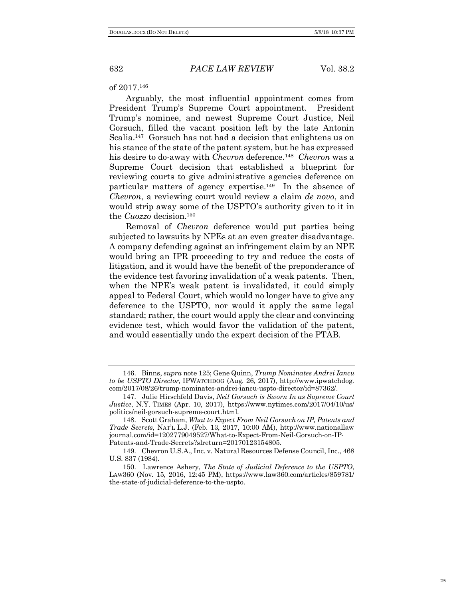### of 2017.146

Arguably, the most influential appointment comes from President Trump's Supreme Court appointment. President Trump's nominee, and newest Supreme Court Justice, Neil Gorsuch, filled the vacant position left by the late Antonin Scalia.147 Gorsuch has not had a decision that enlightens us on his stance of the state of the patent system, but he has expressed his desire to do-away with *Chevron* deference.148 *Chevron* was a Supreme Court decision that established a blueprint for reviewing courts to give administrative agencies deference on particular matters of agency expertise.<sup>149</sup> In the absence of *Chevron*, a reviewing court would review a claim *de novo*, and would strip away some of the USPTO's authority given to it in the *Cuozzo* decision.150

Removal of *Chevron* deference would put parties being subjected to lawsuits by NPEs at an even greater disadvantage. A company defending against an infringement claim by an NPE would bring an IPR proceeding to try and reduce the costs of litigation, and it would have the benefit of the preponderance of the evidence test favoring invalidation of a weak patents. Then, when the NPE's weak patent is invalidated, it could simply appeal to Federal Court, which would no longer have to give any deference to the USPTO, nor would it apply the same legal standard; rather, the court would apply the clear and convincing evidence test, which would favor the validation of the patent, and would essentially undo the expert decision of the PTAB.

<sup>146.</sup> Binns, *supra* note 125; Gene Quinn, *Trump Nominates Andrei Iancu to be USPTO Director,* IPWATCHDOG (Aug. 26, 2017), http://www.ipwatchdog. com/2017/08/26/trump-nominates-andrei-iancu-uspto-director/id=87362/.

<sup>147.</sup> Julie Hirschfeld Davis, *Neil Gorsuch is Sworn In as Supreme Court Justice*, N.Y. TIMES (Apr. 10, 2017), https://www.nytimes.com/2017/04/10/us/ politics/neil-gorsuch-supreme-court.html.

<sup>148.</sup> Scott Graham, *What to Expect From Neil Gorsuch on IP, Patents and Trade Secrets*, NAT'L L.J. (Feb. 13, 2017, 10:00 AM), http://www.nationallaw journal.com/id=1202779049527/What-to-Expect-From-Neil-Gorsuch-on-IP-Patents-and-Trade-Secrets?slreturn=20170123154805.

<sup>149.</sup> Chevron U.S.A., Inc. v. Natural Resources Defense Council, Inc., 468 U.S. 837 (1984).

<sup>150.</sup> Lawrence Ashery, *The State of Judicial Deference to the USPTO*, LAW360 (Nov. 15, 2016, 12:45 PM), https://www.law360.com/articles/859781/ the-state-of-judicial-deference-to-the-uspto.